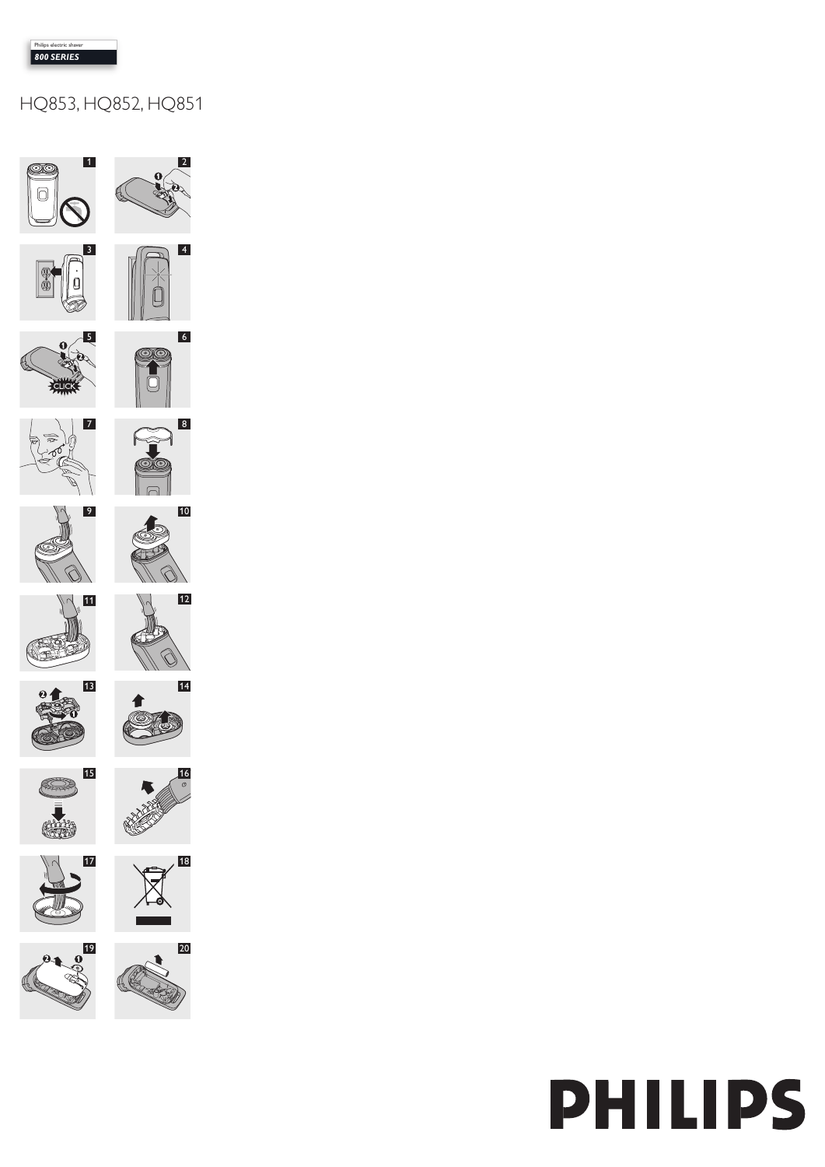# HQ853, HQ852, HQ851



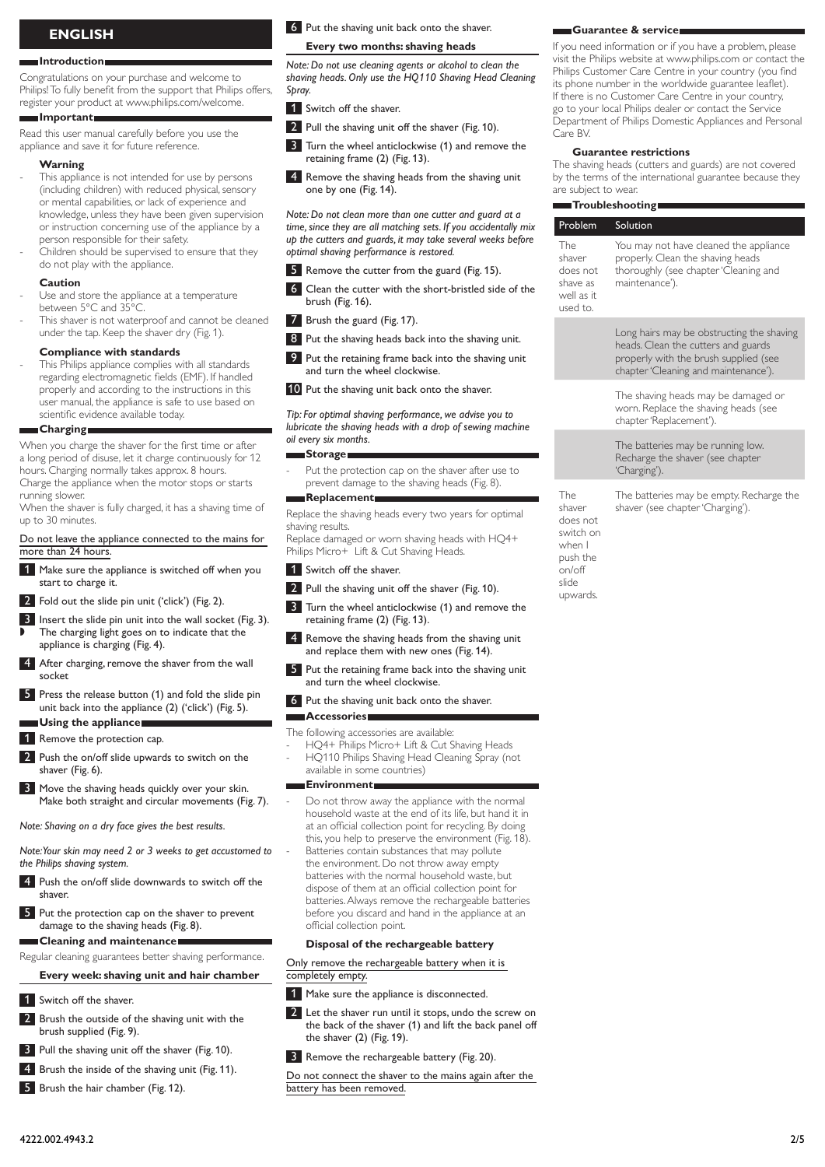# **English**

#### **Introduction**

Congratulations on your purchase and welcome to Philips! To fully benefit from the support that Philips offers, register your product at www.philips.com/welcome.

#### **Important**

Read this user manual carefully before you use the appliance and save it for future reference.

#### **Warning**

-

- This appliance is not intended for use by persons (including children) with reduced physical, sensory or mental capabilities, or lack of experience and knowledge, unless they have been given supervision or instruction concerning use of the appliance by a person responsible for their safety.
- Children should be supervised to ensure that they do not play with the appliance. -

#### **Caution**

- Use and store the appliance at a temperature between 5°C and 35°C. -
- This shaver is not waterproof and cannot be cleaned under the tap. Keep the shaver dry (Fig. 1). -

#### **Compliance with standards**

This Philips appliance complies with all standards regarding electromagnetic fields (EMF). If handled properly and according to the instructions in this user manual, the appliance is safe to use based on scientific evidence available today. -

#### **Charging**

When you charge the shaver for the first time or after a long period of disuse, let it charge continuously for 12 hours. Charging normally takes approx. 8 hours. Charge the appliance when the motor stops or starts running slower.

When the shaver is fully charged, it has a shaving time of up to 30 minutes.

Do not leave the appliance connected to the mains for more than 24 hours.

- 1 Make sure the appliance is switched off when you start to charge it.
- 2 Fold out the slide pin unit ('click') (Fig. 2).
- 3 Insert the slide pin unit into the wall socket (Fig. 3). The charging light goes on to indicate that the appliance is charging (Fig. 4). ,
- After charging, remove the shaver from the wall socket
- 5 Press the release button (1) and fold the slide pin unit back into the appliance (2) ('click') (Fig. 5). **Using the appliance**
- 1 Remove the protection cap.
- 2 Push the on/off slide upwards to switch on the shaver (Fig. 6).
- **3** Move the shaving heads quickly over your skin. Make both straight and circular movements (Fig. 7).

*Note: Shaving on a dry face gives the best results.*

*Note: Your skin may need 2 or 3 weeks to get accustomed to the Philips shaving system.*

- **4** Push the on/off slide downwards to switch off the shaver.
- 5 Put the protection cap on the shaver to prevent damage to the shaving heads (Fig. 8).

**Cleaning and maintenance**

Regular cleaning guarantees better shaving performance.

## **Every week: shaving unit and hair chamber**

- 1 Switch off the shaver.
- 2 Brush the outside of the shaving unit with the brush supplied (Fig. 9).
- **3** Pull the shaving unit off the shaver (Fig. 10).
- **4** Brush the inside of the shaving unit (Fig. 11).
- 5 Brush the hair chamber (Fig. 12).

6 Put the shaving unit back onto the shaver.

#### **Every two months: shaving heads**

*Note: Do not use cleaning agents or alcohol to clean the shaving heads. Only use the HQ110 Shaving Head Cleaning Spray.* 

- 1 Switch off the shaver.
- 2 Pull the shaving unit off the shaver (Fig. 10).
- **3** Turn the wheel anticlockwise (1) and remove the retaining frame (2) (Fig. 13).
- 4 Remove the shaving heads from the shaving unit one by one (Fig. 14).

*Note: Do not clean more than one cutter and guard at a time, since they are all matching sets. If you accidentally mix up the cutters and guards, it may take several weeks before optimal shaving performance is restored.*

- Remove the cutter from the guard (Fig. 15).
- 6 Clean the cutter with the short-bristled side of the brush (Fig. 16).
- 7 Brush the guard (Fig. 17).
- 8 Put the shaving heads back into the shaving unit.
- 9 Put the retaining frame back into the shaving unit and turn the wheel clockwise.
- 10 Put the shaving unit back onto the shaver.

*Tip: For optimal shaving performance, we advise you to lubricate the shaving heads with a drop of sewing machine oil every six months.*

#### **Storage**

Put the protection cap on the shaver after use to prevent damage to the shaving heads (Fig. 8). -

**Replacement**

Replace the shaving heads every two years for optimal shaving results.

Replace damaged or worn shaving heads with HQ4+ Philips Micro+ Lift & Cut Shaving Heads.

- 1 Switch off the shaver.
- 2 Pull the shaving unit off the shaver (Fig. 10).
- **3** Turn the wheel anticlockwise (1) and remove the retaining frame (2) (Fig. 13).
- 4 Remove the shaving heads from the shaving unit and replace them with new ones (Fig. 14).
- 5 Put the retaining frame back into the shaving unit and turn the wheel clockwise.
- 6 Put the shaving unit back onto the shaver.

The following accessories are available:

HQ4+ Philips Micro+ Lift & Cut Shaving Heads HQ110 Philips Shaving Head Cleaning Spray (not available in some countries) - -

#### **Environment**

-

-

**Accessories**

Do not throw away the appliance with the normal household waste at the end of its life, but hand it in at an official collection point for recycling. By doing this, you help to preserve the environment (Fig. 18). Batteries contain substances that may pollute the environment. Do not throw away empty batteries with the normal household waste, but dispose of them at an official collection point for batteries. Always remove the rechargeable batteries before you discard and hand in the appliance at an official collection point.

#### **Disposal of the rechargeable battery**

Only remove the rechargeable battery when it is completely empty.

- 1 Make sure the appliance is disconnected.
- 2 Let the shaver run until it stops, undo the screw on the back of the shaver (1) and lift the back panel off the shaver (2) (Fig. 19).
- **3** Remove the rechargeable battery (Fig. 20).

Do not connect the shaver to the mains again after the battery has been removed.

#### **Guarantee & service**

If you need information or if you have a problem, please visit the Philips website at www.philips.com or contact the Philips Customer Care Centre in your country (you find its phone number in the worldwide guarantee leaflet). If there is no Customer Care Centre in your country, go to your local Philips dealer or contact the Service Department of Philips Domestic Appliances and Personal Care BV.

#### **Guarantee restrictions**

The shaving heads (cutters and guards) are not covered by the terms of the international guarantee because they are subject to wear.

#### **Troubleshooting**

|  | Problem                                                         | Solution                                                                                                                                                          |
|--|-----------------------------------------------------------------|-------------------------------------------------------------------------------------------------------------------------------------------------------------------|
|  | The<br>shaver<br>does not<br>shave as<br>well as it<br>used to. | You may not have cleaned the appliance<br>properly. Clean the shaving heads<br>thoroughly (see chapter 'Cleaning and<br>maintenance').                            |
|  |                                                                 | Long hairs may be obstructing the shaving<br>heads. Clean the cutters and guards<br>properly with the brush supplied (see<br>chapter 'Cleaning and maintenance'). |

The shaving heads may be damaged or worn. Replace the shaving heads (see chapter 'Replacement').

The batteries may be running low. Recharge the shaver (see chapter 'Charging').

The shaver does not switch on when I push the .<br>on/off slide The batteries may be empty. Recharge the shaver (see chapter 'Charging').

upwards.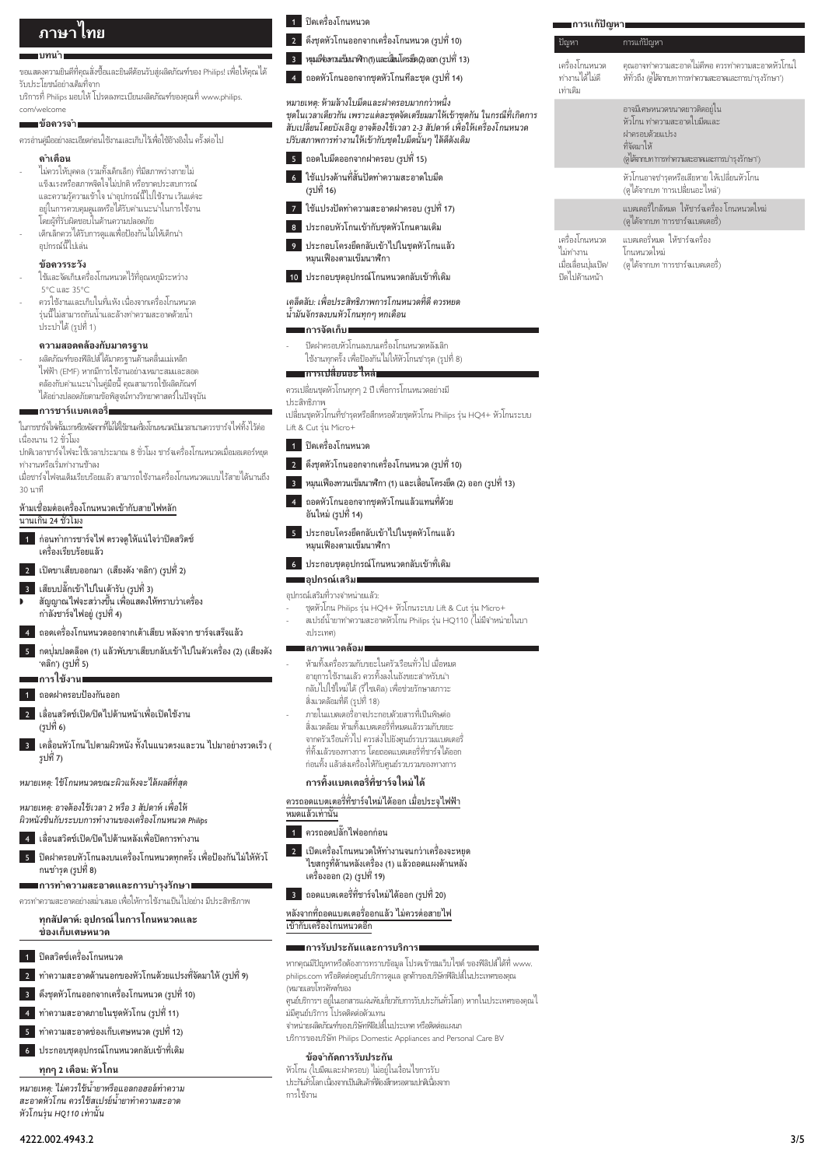# **ภาษาไทย**

#### **บทนำ**

ขอแสดงความยินดีที่คุณสั่งซื้อและยินดีต้อนรับสู่ผลิตภัณฑ์ของ Philips! เพื่อให้คุณได้ รับประโยชนอยางเต็มที่จาก บริการที่ Philips มอบให โปรดลงทะเบียนผลิตภัณฑของคุณที่ www.philips.

#### com/welcome **ขอควรจำ**

ควรอานคมืออยางละเอียดกอนใชงานและเก็บไวเพื่อใชอางอิงใน ครั้งตอไป

#### **คำเตือน**

- ไมควรใหบุคคล (รวมทั้งเด็กเล็ก) ที่มีสภาพรางกายไม แข็งแรงหรือสภาพจิตใจไมปกติ หรือขาดประสบการณ และความรความเขาใจ นำอุปกรณนี้ไปใชงาน เวนแตจะ อยในการควบคุมดูแลหรือไดรับคำแนะนำในการใชงาน โดยผที่รับผิดชอบในดานความปลอดภัย -
- เด็กเล็กควรไดรับการดูแลเพื่อปองกันไมใหเด็กนำ อุปกรณนี้ไปเลน -

# **ขอควรระวัง**

- ใช้และจัดเก็บเครื่องโกนหนวดไว้ที่อุณหภูมิระหว่าง 5°C และ 35°C -
- ควรใชงานและเก็บในที่แหง เนื่องจากเครื่องโกนหนวด ร่นนี้ไม่สามารถกันน้ำและล้างทำความสะอาดด้วยน้ำ ประปาได (รูปที่ 1) -

#### **ความสอดคลองกับมาตรฐาน**

ผลิตภัณฑของฟลิปสไดมาตรฐานดานคลื่นแมเหล็ก ไฟฟา (EMF) หากมีการใชงานอยางเหมาะสมและสอด คล้องกับคำแนะนำในค่มือนี้ คุณสามารถใช้ผลิตภัณฑ์ ไดอยางปลอดภัยตามขอพิสูจนทางวิทยาศาสตรในปจจุบัน -

#### **การชารแบตเตอรี่**

ในการชารจไฟครั้งแรกหรือหลังจากที่ไมไดใชงานเครื่องโกนหนวดเปนเวลานานควรชารจไฟทิ้งไวตอ เนื่องนาน 12 ชั่วโมง

ปกติเวลาชารจไฟจะใชเวลาประมาณ 8 ชั่วโมง ชารจเครื่องโกนหนวดเมื่อมอเตอรหยุด ทำงานหรือเริ่มทำงานชาลง

เมื่อชารจไฟจนเต็มเรียบรอยแลว สามารถใชงานเครื่องโกนหนวดแบบไรสายไดนานถึง 30 นาที

หามเชื่อมตอเครื่องโกนหนวดเขากับสายไฟหลัก

# นานเกิน 24 ชั่วโมง

1 กอนทำการชารจไฟ ตรวจดูใหแนใจวาปดสวิตช เครื่องเรียบรอยแลว

2 เปดขาเสียบออกมา (เสียงดัง 'คลิก') (รูปที่ 2)

- 3 เสียบปลั๊กเขาไปในเตารับ (รูปที่ 3)
- สัญญาณไฟจะสวางขึ้น เพื่อแสดงใหทราบวาเครื่อง กำลังชาร์จไฟอยู่ (รูปที่ 4) ,

่ ถอดเครื่องโกนหนวดออกจากเต้าเสียบ หลังจาก ชาร์จเสร็จแล้ว

5 กดปุ่มปลดล็อค (1) แลวพับขาเสียบกลับเขาไปในตัวเครื่อง (2) (เสียงดัง 'คลิก') (รูปที่ 5) ∎การใช้งาน**เ** 

 $\overline{1}$  ถอดฝาครอบป้องกับออก

- ่ 2 เลื่อนสวิตช์เปิด/ปิดไปด้านหน้าเพื่อเปิดใช้งาน (รูปที่ 6)
- 3 เคลื่อนหัวโกนไปตามผิวหนัง ทั้งในแนวตรงและวน ไปมาอยางรวดเร็ว ( รูปที่ 7)

*หมายเหตุ: ใชโกนหนวดขณะผิวแหงจะไดผลดีที่สุด*

*หมายเหตุ: อาจตองใชเวลา 2 หรือ 3 สัปดาห เพื่อให ผิวหนังชินกับระบบการทำงานของเครื่องโกนหนวด Philips*

4 เลื่อนสวิตชเปด/ปดไปดานหลังเพื่อปดการทำงาน

5 ปดฝาครอบหัวโกนลงบนเครื่องโกนหนวดทุกครั้ง เพื่อปองกันไมใหหัวโ กนชำรุด (รูปที่ 8)

**การทำความสะอาดและการบำรุงรักษา**

ควรทำความสะอาดอยางสมเสมอ เพื่อใหการใชงานเปนไปอยาง มีประสิทธิภาพ

#### **ทุกสัปดาห: อุปกรณในการโกนหนวดและ** ู<br>ช่องเก็บเศษหน*า*ด

- 1 ปดสวิตซเครื่องโกนหนวด
- 2 ทำความสะอาดดานนอกของหัวโกนดวยแปรงที่จัดมาให (รูปที่ 9)
- 3 ดึงชุดหัวโกนออกจากเครื่องโกนหนวด (รูปที่ 10)
- 4 ทำความสะอาดภายในชุดหัวโกน (รูปที่ 11)
- 5 ทำความสะอาดชองเก็บเศษหนวด (รูปที่ 12)
- 6 ประกอบชุดอุปกรณโกนหนวดกลับเขาที่เดิม
	- **ทุกๆ 2 เดือน: หัวโกน**

*หมายเหตุ: ไมควรใชนยาหรือแอลกอฮอลทำความ สะอาดหัวโกน ควรใชสเปรยนยาทำความสะอาด หัวโกนรน HQ110 เทานั้น* 



2 ดึงชุดหัวโกนออกจากเครื่องโกนหนวด (รูปที่ 10)

3 หมุนเฟองทวนเข็มนาฬิกา (1) และเลื่อนโครงยึด (2) ออก (รูปที่ 13)

 $\overline{\phantom{a}4\phantom{a}}$  ถอดหัวโกนออกจากชุดหัวโกนทีละชุด (รูปที่ 14)

# *หมายเหตุ: หามลางใบมีดและฝาครอบมากกวาหนึ่ง ชุดในเวลาเดียวกัน เพราะแตละชุดจัดเตรียมมาใหเขาชุดกัน ในกรณีที่เกิดการ*

# *สับเปลี่ยนโดยบังเอิญ อาจตองใชเวลา 2-3 สัปดาห เพื่อใหเครื่องโกนหนวด ปรับสภาพการทำงานใหเขากับชุดใบมีดนั้นๆ ไดดีดังเดิม*

- 5 ถอดใบมีดออกจากฝาครอบ (รูปที่ 15)
- 6 ใชแปรงดานที่สั้นปดทำความสะอาดใบมีด (รูปที่ 16)
- 7 ใชแปรงปดทำความสะอาดฝาครอบ (รูปที่ 17)
- 8 ประกอบหัวโกนเข้ากับชุดหัวโกนตามเดิม
- 9 ประกอบโครงยึดกลับเขาไปในชุดหัวโกนแลว หมุนเฟองตามเข็มนาฬิกา
- 10 ประกอบชุดอุปกรณโกนหนวดกลับเขาที่เดิม

#### *เคล็ดลับ: เพื่อประสิทธิภาพการโกนหนวดที่ดี ควรหยด นมันจักรลงบนหัวโกนทุกๆ หกเดือน*

# **การจัดเก็บ**

ปดฝาครอบหัวโกนลงบนเครื่องโกนหนวดหลังเลิก ใช้งานทกครั้ง เพื่อป้องกันไม่ให้หัวโกนชารุด (รูปที่ 8) -

#### **การเปลี่ยนอะไหล**

ควรเปลี่ยนชุดหัวโกนทุกๆ 2 ป เพื่อการโกนหนวดอยางมี

#### ประสิทธิภาพ

เปลี่ยนชุดหัวโกนที่ชำรุดหรือสึกหรอด้วยชุดหัวโกน Philips รุ่น HQ4+ หัวโกนระบบ Lift & Cut รน Micro+

- 1 ปดเครื่องโกนหนวด
- 2 ดึงชุดหัวโกนออกจากเครื่องโกนหนวด (รูปที่ 10)
- $\overline{\phantom{a}3\phantom{a}}$ หมนเฟืองทวนเข็มนาฬิกา (1) และเลื่อนโครงยึด (2) ออก (รูปที่ 13)
- 4 ถอดหัวโกนออกจากชุดหัวโกนแลวแทนที่ดวย อันใหม่ (รูปที่ 14)
- 5 ประกอบโครงยึดกลับเขาไปในชุดหัวโกนแลว หมุนเฟองตามเข็มนาฬิกา
- 6 ประกอบชุดอุปกรณโกนหนวดกลับเขาที่เดิม

#### **| อ**ุปกรณ์เสริม | อุปกรณเสริมที่วางจำหนายแลว:

ชุดหัวโกน Philips รน HQ4+ หัวโกนระบบ Lift & Cut รน Micro+ สเปรยนยาทำความสะอาดหัวโกน Philips รน HQ110 (ไมมีจำหนายในบา - -

#### ∎สภาพแวดล้อม∎

งประเทศ)

-

- หามทิ้งเครื่องรวมกับขยะในครัวเรือนทั่วไป เมื่อหมด อายุการใชงานแลว ควรทิ้งลงในถังขยะสำหรับนำ กลับไปใชใหมได (รีไซเคิล) เพื่อชวยรักษาสภาวะ สิ่งแวดลอมที่ดี (รูปที่ 18) ภายในแบตเตอรี่อาจประกอบดวยสารที่เปนพิษตอ
- สิ่งแวดล้อม ห้ามทิ้งแบตเตอรี่ที่หมดแล้วรามกับขยะ จากครัวเรือนทั่วไป ควรสงไปยังศูนยรวบรวมแบตเตอรี่ ที่ทิ้งแล้วของทางการ โดยถอดแบตเตอรี่ที่ชาร์จได้ออก ก่อนทิ้ง แล้วส่งเครื่องให้กับศูนย์รวบรวมของทางการ -

#### **การทิ้งแบตเตอรี่ที่ชารจใหมได**

- ควรถอดแบตเตอรี่ที่ชารจใหมไดออก เมื่อประจุไฟฟา หมดแลวเทานั้น
- $\blacksquare$  ควรถอดปลั๊กไฟออกก่อน
- 2 เปดเครื่องโกนหนวดใหทำงานจนกวาเครื่องจะหยุด ไขสกรูที่ดานหลังเครื่อง (1) แลวถอดแผงดานหลัง เครื่องออก (2) (รูปที่ 19)
- $\overline{\phantom{a}3\phantom{a}}$  ถอดแบตเตอรี่ที่ชาร์จใหม่ได้ออก (รูปที่ 20)

#### หลังจากที่ถอดแบตเตอรี่ออกแลว ไมควรตอสายไฟ เขากับเครื่องโกนหนวดอีก

#### **การรับประกันและการบริการ**

- หากคุณมีปัญหาหรือต้องการทราบข้อมูล โปรดเข้าชมเว็บไซต์ ของฟิลิปส์ได้ที่ www. philips.com หรือติดตอศูนยบริการดูแล ลูกคาของบริษัทฟลิปสในประเทศของคุณ (หมายเลขโทรศัพทของ
- ศูนยบริการฯ อยในเอกสารแผนพับเกี่ยวกับการรับประกันทั่วโลก) หากในประเทศของคุณไ มมีศูนย์บริการ โปรดติดต่อตัวแทน
- ้งแม่งู้ แย้ ยังการ จะยังการการการแรกของบริษัท<br>จำหน่ายผลิตภัณฑ์ของบริษัทฟิลิปส์ในประเทศ หรือติดต่อแผนก
- บริการของบริษัท Philips Domestic Appliances and Personal Care BV

### **ขอจำกัดการรับประกัน**

หัวโกน (ใบมีดและฝาครอบ) ไมอยในเงื่อนไขการรับ ประกันทั่วโลก เนื่องจากเปนสินคาที่ตองสึกหรอตามปกติเนื่องจาก การใช้งาน

| ██ การแก้ปัญหา                                                      |                                                                                                                                             |  |
|---------------------------------------------------------------------|---------------------------------------------------------------------------------------------------------------------------------------------|--|
| ปัญหา                                                               | <u>การแก้ปัญหา</u>                                                                                                                          |  |
| เครื่องโกนหนวด<br>ทำงานได้ไม่ดี<br>เท่าเดิม                         | คุณอาจทำความสะอาดไม่ดีพอ ควรทำความสะอาดหัวโกนใ<br>ห้ทั่วถึง (ดูได้จากบท การทำความสะอาดและการบำรุงรักษา')                                    |  |
|                                                                     | อาจมีเศษหนวดขนาดยาวติดอยู่ใน<br>หัวโกน ทำความสะอาดใบมีดและ<br>ฝาครอบด้วยแปรง<br>ที่จัดมาให้<br>(ดูได้จากบท หารทำความสะอาดและการบำรุงรักษา') |  |
|                                                                     | หัวโกนอาจชารุดหรือเสียหาย ให้เปลี่ยนหัวโกน<br>(ดูได้จากบท 'การเปลี่ยนอะไหล่')                                                               |  |
|                                                                     | แบตเตอรี่ใกล้หมด ให้ชาร์จเครื่อง โกนหนวดใหม่<br>(ดูได้จากบท 'การชาร์จแบตเตอรี่)                                                             |  |
| เครื่องโกนหนวด<br>ไม่ทำงาน<br>เมื่อเลื่อนปุ่มเปิด/<br>ปิดไปด้านหน้า | แบตเตอรี่หมด ให้ชาร์จเครื่อง<br>โกนหนวดใหม่<br>(ดูได้จากบท 'การชาร์จแบตเตอรี่)                                                              |  |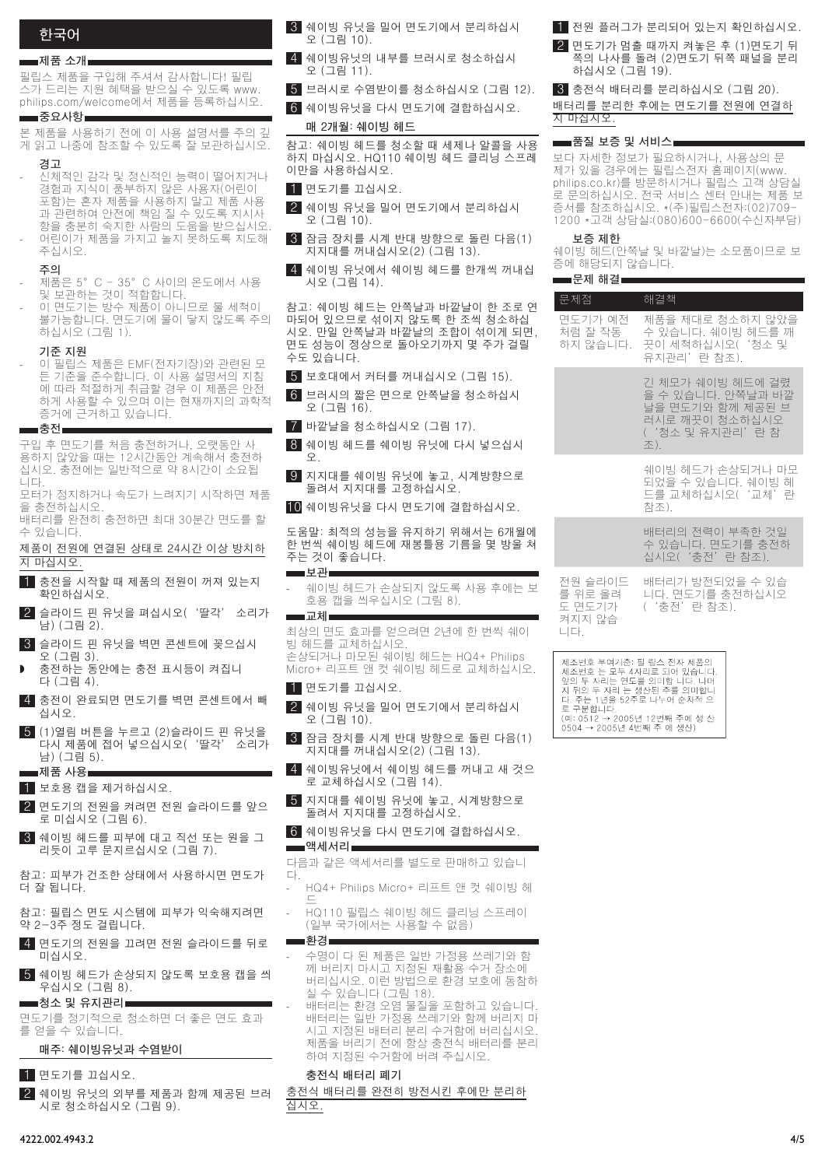# **한국어**

#### **■제품 소개**■

필립스 제품을 구입해 주셔서 감사합니다! 필립 스가 드리는 지원 혜택을 받으실 수 있도록 www. philips.com/welcome에서 제품을 등록하십시오.

#### **중요사항 The State**

본 제품을 사용하기 전에 이 사용 설명서를 주의 깊 게 읽고 나중에 참조할 수 있도록 잘 보관하십시오.

- **경고**
- **)**<br>신체적인 감각 및 정신적인 능력이 떨어지거나 경험과 지식이 풍부하지 않은 사용자(어린이 포함)는 혼자 제품을 사용하지 말고 제품 사용 과 관련하여 안전에 책임 질 수 있도록 지시사 항을 충분히 숙지한 사람의 도움을 받으십시오. 어린이가 제품을 가지고 놀지 못하도록 지도해 - -
- **주의**
- 제품은 5°C 35°C 사이의 온도에서 사용 및 보관하는 것이 적합합니다. -
- 이 면도기는 방수 제품이 아니므로 물 세척이 불가능합니다. 면도기에 물이 닿지 않도록 주의 하십시오 (그림 1). -

#### **기준 지원**

주십시오.

이 필립스 제품은 EMF(전자기장)와 관련된 모 든 기준을 준수합니다. 이 사용 설명서의 지침 에 따라 적절하게 취급할 경우 이 제품은 안전 하게 사용할 수 있으며 이는 현재까지의 과학적 증거에 근거하고 있습니다. -

▅▅ 충전■ 구입 후 면도기를 처음 충전하거나, 오랫동안 사

용하지 않았을 때는 12시간동안 계속해서 충전하 십시오. 충전에는 일반적으로 약 8시간이 소요됩 니다.

모터가 정지하거나 속도가 느려지기 시작하면 제품 을 충전하십시오.

배터리를 완전히 충전하면 최대 30분간 면도를 할 수 있습니다.

제품이 전원에 연결된 상태로 24시간 이상 방치하 지 마십시오.

- 1 충전을 시작할 때 제품의 전원이 꺼져 있는지 확인하십시오.
- 2 슬라이드 핀 유닛을 펴십시오('딸각' 소리가 남) (그림 2).
- 3 슬라이드 핀 유닛을 벽면 콘센트에 꽂으십시 오 (그림 3).
- 충전하는 동안에는 충전 표시등이 켜집니 다 (그림 4). ,
- 4 충전이 완료되면 면도기를 벽면 콘센트에서 빼 십시오.
- $\overline{\phantom{a}}$  (1)열림 버튼을 누르고 (2)슬라이드 핀 유닛을<br>다시 제품에 접어 넣으십시오('딸각' 소리가 다시 제품에 접어 넣으십시오('딸각' 남) (그림 5). **제품 사용**

 $1$  보호용 캡을 제거하십시오.

- 2 면도기의 전원을 켜려면 전원 슬라이드를 앞으 로 미십시오 (그림 6).
- 3 쉐이빙 헤드를 피부에 대고 직선 또는 원을 그 리듯이 고루 문지르십시오 (그림 7).

참고: 피부가 건조한 상태에서 사용하시면 면도가 더 잘 됩니다.

- 참고: 필립스 면도 시스템에 피부가 익숙해지려면 약 2-3주 정도 걸립니다.
- 4 면도기의 전원을 끄려면 전원 슬라이드를 뒤로 미십시오.
- 5 쉐이빙 헤드가 손상되지 않도록 보호용 캡을 씌 우십시오 (그림 8).

#### **청소 및 유지관리**

면도기를 정기적으로 청소하면 더 좋은 면도 효과 를 얻을 수 있습니다.

#### **매주: 쉐이빙유닛과 수염받이**

- 1 면도기를 끄십시오.
- 2 쉐이빙 유닛의 외부를 제품과 함께 제공된 브러 시로 청소하십시오 (그림 9).

3 쉐이빙 유닛을 밀어 면도기에서 분리하십시 오 (그림 10).

- 4 쉐이빙유닛의 내부를 브러시로 청소하십시 오 (그림 11).
- 5 브러시로 수염받이를 청소하십시오 (그림 12).
- 6 쉐이빙유닛을 다시 면도기에 결합하십시오.

#### **매 2개월: 쉐이빙 헤드**

참고: 쉐이빙 헤드를 청소할 때 세제나 알콜을 사용 하지 마십시오. HQ110 쉐이빙 헤드 클리닝 스프레 이만을 사용하십시오.

1 면도기를 끄십시오.

- 2 쉐이빙 유닛을 밀어 면도기에서 분리하십시 오 (그림 10).
- 3 잠금 장치를 시계 반대 방향으로 돌린 다음(1) 지지대를 꺼내십시오(2) (그림 13).
- 4 쉐이빙 유닛에서 쉐이빙 헤드를 한개씩 꺼내십 시오 (그림 14).

참고: 쉐이빙 헤드는 안쪽날과 바깥날이 한 조로 이 마되어 있으므로 섞이지 않도록 한 조씩 청소하십 시오. 만일 안쪽날과 바깥날의 조합이 섞이게 되면, 면도 성능이 정상으로 돌아오기까지 몇 주가 걸릴 수도 있습니다.

- 5 보호대에서 커터를 꺼내십시오 (그림 15).
- 6 브러시의 짧은 면으로 안쪽날을 청소하십시 오 (그림 16).
- 7 바깥날을 청소하십시오 (그림 17).
- 8 쉐이빙 헤드를 쉐이빙 유닛에 다시 넣으십시 오.
- 9 지지대를 쉐이빙 유닛에 놓고, 시계방향으로 돌려서 지지대를 고정하십시오.
- 10 쉐이빙유닛을 다시 면도기에 결합하십시오.

도움말: 최적의 성능을 유지하기 위해서는 6개월 한 번씩 쉐이빙 헤드에 재봉틀용 기름을 몇 방울 ; 주는 것이 좋습니다. ■보관■

- 쉐이빙 헤드가 손상되지 않도록 사용 후에는 호용 캡을 씌우십시오 (그림 8). **교체**
- 최상의 면도 효과를 얻으려면 2년에 한 번씩 쉐이 빙 헤드를 교체하십시오.

손상되거나 마모된 쉐이빙 헤드는 HQ4+ Philips Micro+ 리프트 앤 컷 쉐이빙 헤드로 교체하십시오.

 $1$  면도기를 끄십시오.

-

п

- 2 쉐이빙 유닛을 밀어 면도기에서 분리하십시 오 (그림 10).
- $3$  잠금 장치를 시계 반대 방향으로 돌린 다음(1) 지지대를 꺼내십시오(2) (그림 13).
- 4 쉐이빙유닛에서 쉐이빙 헤드를 꺼내고 새 것으 로 교체하십시오 (그림 14).
- 5 지지대를 쉐이빙 유닛에 놓고, 시계방향으로 돌려서 지지대를 고정하십시오.

#### 6 쉐이빙유닛을 다시 면도기에 결합하십시오. ▅▅▅액세서리▅

다음과 같은 액세서리를 별도로 판매하고 있습니 다.

- HQ4+ Philips Micro+ 리프트 앤 컷 쉐이빙 헤 드
- HQ110 필립스 쉐이빙 헤드 클리닝 스프레이 (일부 국가에서는 사용할 수 없음)
- 수명이 다 된 제품은 일반 가정용 쓰레기와 함 께 버리지 마시고 지정된 재활용 수거 장소에 버리십시오. 이런 방법으로 환경 보호에 동참하 .<br>실 수 있습니다 (그림 18) -
- 배터리는 환경 오염 물질을 포함하고 있습니다. 배터리는 일반 가정용 쓰레기와 함께 버리지 마 시고 지정된 배터리 분리 수거함에 버리십시오. 제품을 버리기 전에 항상 충전식 배터리를 분리 하여 지정된 수거함에 버려 주십시오.

#### **충전식 배터리 폐기**

**환경**

- -

-

충전식 배터리를 완전히 방전시킨 후에만 분리하 십시오.

- 1 전원 플러그가 분리되어 있는지 확인하십시오.
- 2 면도기가 멈출 때까지 켜놓은 후 (1)면도기 뒤 쪽의 나사를 돌려 (2)면도기 뒤쪽 패널을 분리 하십시오 (그림 19).
- 3 충전식 배터리를 분리하십시오 (그림 20).

배터리를 분리한 후에는 면도기를 전원에 연결하 지 마십시오.

#### **■품질 보증 및 서비스■**

보다 자세한 정보가 필요하시거나, 사용상의 문 제가 있을 경우에는 필립스전자 홈페이지(www. philips.co.kr)를 방문하시거나 필립스 고객 상담실 로 문의하십시오. 전국 서비스 센터 안내는 제품 보 증서를 참조하십시오. \*(주)필립스전자:(02)709- 1200 \*고객 상담실:(080)600-6600(수신자부담)

#### **보증 제한**

쉐이빙 헤드(안쪽날 및 바깥날)는 소모품이므로 보 증에 해당되지 않습니다.

|                            | ▅▅ 문제 해결!                                     |                                                                                                       |
|----------------------------|-----------------------------------------------|-------------------------------------------------------------------------------------------------------|
| 견                          | 문제점                                           | 해결책                                                                                                   |
| ₫,                         | 면도기가 예전<br>처럼 잘 작동<br>하지 않습니다.                | 제품을 제대로 청소하지 않았을<br>수 있습니다. 쉐이빙 헤드를 깨<br>끗이 세척하십시오('청소 및<br>유지관리'란 참조).                               |
|                            |                                               | 긴 체모가 쉐이빙 헤드에 걸렸<br>을 수 있습니다. 안쪽날과 바깥<br>날을 면도기와 함께 제공된 브<br>러시로 깨끗이 청소하십시오<br>('청소 및 유지관리'란 참<br>조). |
|                            |                                               | 쉐이빙 헤드가 손상되거나 마모<br>되었을 수 있습니다. 쉐이빙 헤<br>드를 교체하십시오('교체'라<br>참조)                                       |
| 게<br>Þ                     |                                               | 배터리의 전력이 부족한 것일<br>수 있습니다. 면도기를 충전하<br>십시오('충전'란 참조).                                                 |
| ÷,<br>÷.<br>a.             | 전원 슬라이드<br>를 위로 올려<br>도 면도기가<br>켜지지 않습<br>니다. | 배터리가 방전되었을 수 있습<br>니다. 면도기를 충전하십시오<br>('충전'란 참조).                                                     |
| $\overline{\phantom{a}}$ . | 제조번호 부여기준: 필 립스 전자 제품의                        | 제조번호 는 모두 4자리로 되어 있습니다.<br>앞의 두 자리는 연도를 의미합 니다. 나머                                                    |

지 뒤의 두 자리 는 색사된 주름 의미합니 지 뒤의 누 자리 는 생산된 수를 의미합니<br>다. 주는 1년을 52주로 나누어 순차적 으<br>로 구분합니다. —<br>(예: 0512 → 2005년 12번째 주에 생 산<br>0504 → 2005년 4번째 주 에 생산)